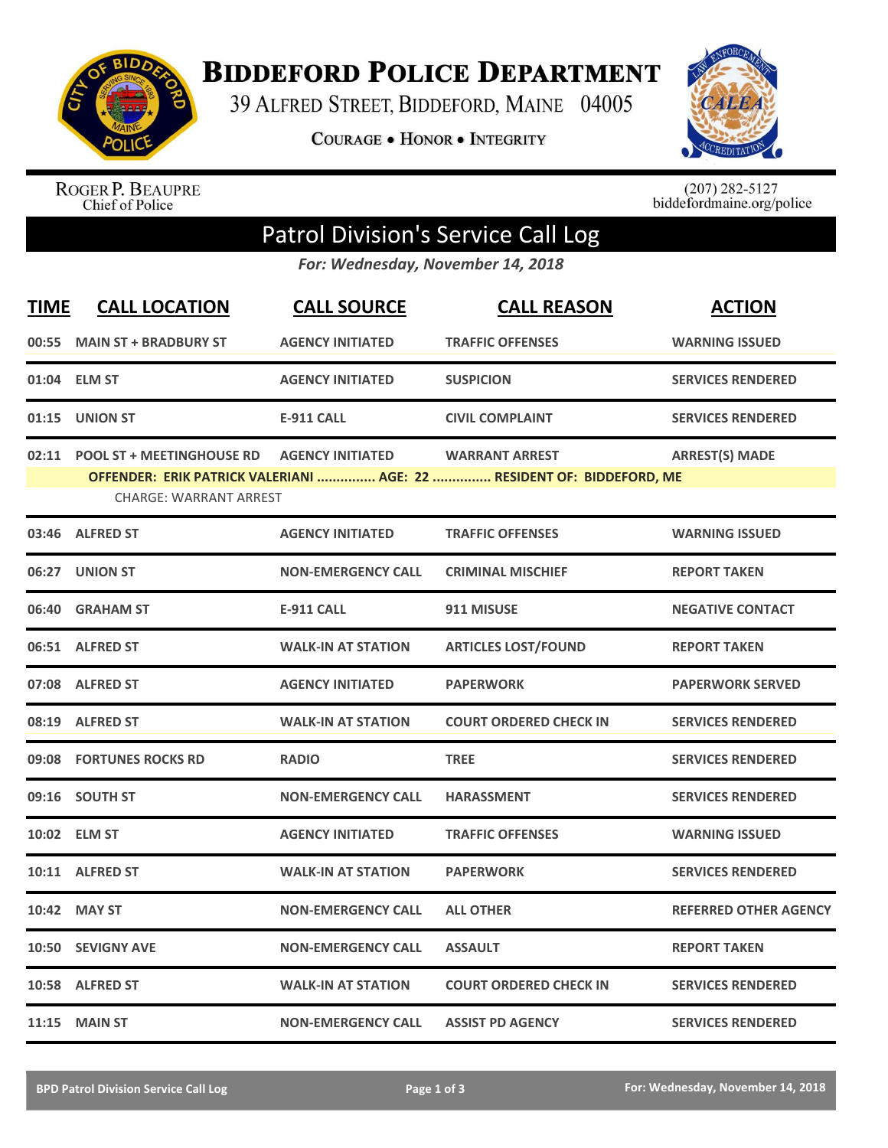

**BIDDEFORD POLICE DEPARTMENT** 

39 ALFRED STREET, BIDDEFORD, MAINE 04005

**COURAGE . HONOR . INTEGRITY** 



ROGER P. BEAUPRE<br>Chief of Police

 $(207)$  282-5127<br>biddefordmaine.org/police

## Patrol Division's Service Call Log

*For: Wednesday, November 14, 2018*

| <b>TIME</b> | <b>CALL LOCATION</b>                                              | <b>CALL SOURCE</b>        | <b>CALL REASON</b>                                                                             | <b>ACTION</b>                |
|-------------|-------------------------------------------------------------------|---------------------------|------------------------------------------------------------------------------------------------|------------------------------|
|             | 00:55 MAIN ST + BRADBURY ST                                       | <b>AGENCY INITIATED</b>   | <b>TRAFFIC OFFENSES</b>                                                                        | <b>WARNING ISSUED</b>        |
|             | 01:04 ELM ST                                                      | <b>AGENCY INITIATED</b>   | <b>SUSPICION</b>                                                                               | <b>SERVICES RENDERED</b>     |
|             | 01:15 UNION ST                                                    | <b>E-911 CALL</b>         | <b>CIVIL COMPLAINT</b>                                                                         | <b>SERVICES RENDERED</b>     |
| 02:11       | <b>POOL ST + MEETINGHOUSE RD</b><br><b>CHARGE: WARRANT ARREST</b> | <b>AGENCY INITIATED</b>   | <b>WARRANT ARREST</b><br>OFFENDER: ERIK PATRICK VALERIANI  AGE: 22  RESIDENT OF: BIDDEFORD, ME | <b>ARREST(S) MADE</b>        |
|             | 03:46 ALFRED ST                                                   | <b>AGENCY INITIATED</b>   | <b>TRAFFIC OFFENSES</b>                                                                        | <b>WARNING ISSUED</b>        |
|             | 06:27 UNION ST                                                    | <b>NON-EMERGENCY CALL</b> | <b>CRIMINAL MISCHIEF</b>                                                                       | <b>REPORT TAKEN</b>          |
|             | 06:40 GRAHAM ST                                                   | <b>E-911 CALL</b>         | 911 MISUSE                                                                                     | <b>NEGATIVE CONTACT</b>      |
|             | 06:51 ALFRED ST                                                   | <b>WALK-IN AT STATION</b> | <b>ARTICLES LOST/FOUND</b>                                                                     | <b>REPORT TAKEN</b>          |
|             | 07:08 ALFRED ST                                                   | <b>AGENCY INITIATED</b>   | <b>PAPERWORK</b>                                                                               | <b>PAPERWORK SERVED</b>      |
|             | 08:19 ALFRED ST                                                   | <b>WALK-IN AT STATION</b> | <b>COURT ORDERED CHECK IN</b>                                                                  | <b>SERVICES RENDERED</b>     |
|             | 09:08 FORTUNES ROCKS RD                                           | <b>RADIO</b>              | <b>TREE</b>                                                                                    | <b>SERVICES RENDERED</b>     |
|             | 09:16 SOUTH ST                                                    | <b>NON-EMERGENCY CALL</b> | <b>HARASSMENT</b>                                                                              | <b>SERVICES RENDERED</b>     |
|             | 10:02 ELM ST                                                      | <b>AGENCY INITIATED</b>   | <b>TRAFFIC OFFENSES</b>                                                                        | <b>WARNING ISSUED</b>        |
|             | 10:11 ALFRED ST                                                   | <b>WALK-IN AT STATION</b> | <b>PAPERWORK</b>                                                                               | <b>SERVICES RENDERED</b>     |
|             | 10:42 MAY ST                                                      | <b>NON-EMERGENCY CALL</b> | <b>ALL OTHER</b>                                                                               | <b>REFERRED OTHER AGENCY</b> |
|             | 10:50 SEVIGNY AVE                                                 | <b>NON-EMERGENCY CALL</b> | <b>ASSAULT</b>                                                                                 | <b>REPORT TAKEN</b>          |
|             | 10:58 ALFRED ST                                                   | <b>WALK-IN AT STATION</b> | <b>COURT ORDERED CHECK IN</b>                                                                  | <b>SERVICES RENDERED</b>     |
|             | <b>11:15 MAIN ST</b>                                              | <b>NON-EMERGENCY CALL</b> | <b>ASSIST PD AGENCY</b>                                                                        | <b>SERVICES RENDERED</b>     |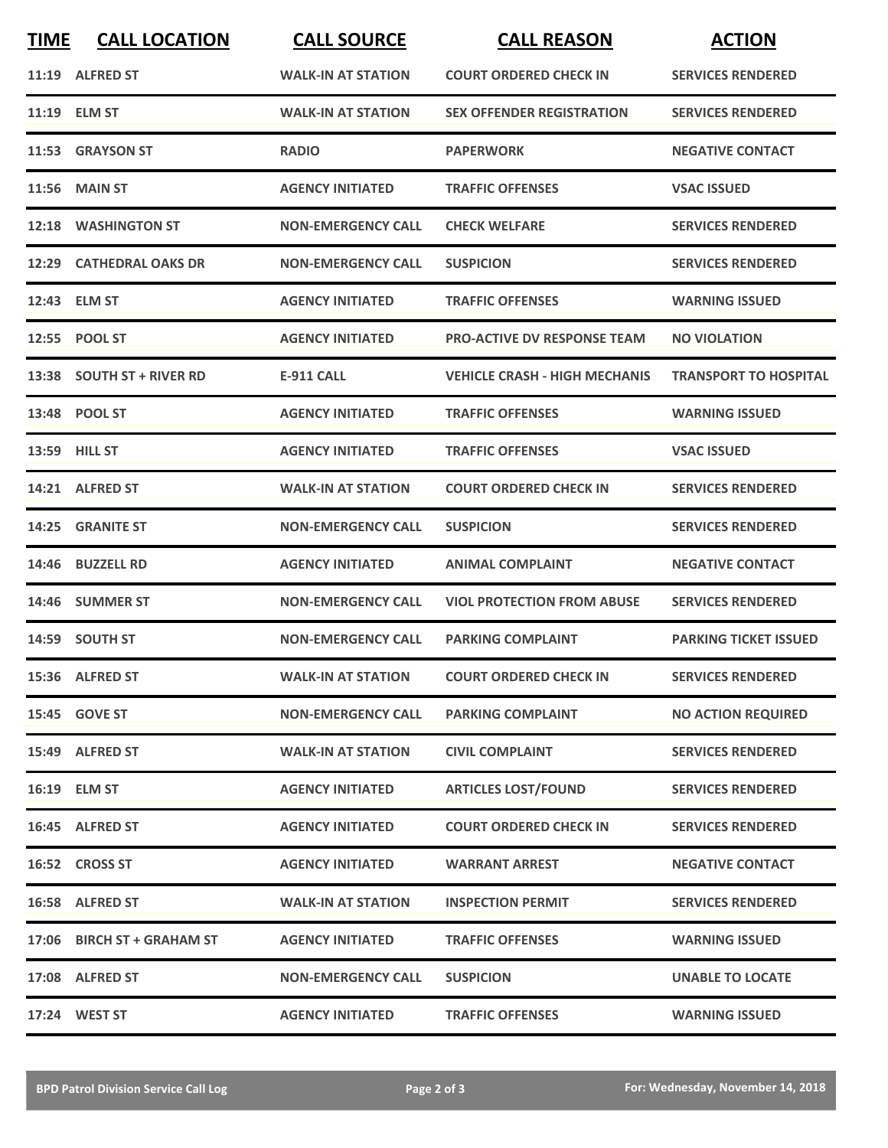| <b>TIME</b> | <b>CALL LOCATION</b>       | <b>CALL SOURCE</b>        | <b>CALL REASON</b>                   | <b>ACTION</b>                |
|-------------|----------------------------|---------------------------|--------------------------------------|------------------------------|
|             | 11:19 ALFRED ST            | <b>WALK-IN AT STATION</b> | <b>COURT ORDERED CHECK IN</b>        | <b>SERVICES RENDERED</b>     |
|             | 11:19 ELM ST               | <b>WALK-IN AT STATION</b> | <b>SEX OFFENDER REGISTRATION</b>     | <b>SERVICES RENDERED</b>     |
|             | 11:53 GRAYSON ST           | <b>RADIO</b>              | <b>PAPERWORK</b>                     | <b>NEGATIVE CONTACT</b>      |
|             | <b>11:56 MAIN ST</b>       | <b>AGENCY INITIATED</b>   | <b>TRAFFIC OFFENSES</b>              | <b>VSAC ISSUED</b>           |
|             | 12:18 WASHINGTON ST        | <b>NON-EMERGENCY CALL</b> | <b>CHECK WELFARE</b>                 | <b>SERVICES RENDERED</b>     |
|             | 12:29 CATHEDRAL OAKS DR    | <b>NON-EMERGENCY CALL</b> | <b>SUSPICION</b>                     | <b>SERVICES RENDERED</b>     |
|             | 12:43 ELM ST               | <b>AGENCY INITIATED</b>   | <b>TRAFFIC OFFENSES</b>              | <b>WARNING ISSUED</b>        |
|             | 12:55 POOL ST              | <b>AGENCY INITIATED</b>   | <b>PRO-ACTIVE DV RESPONSE TEAM</b>   | <b>NO VIOLATION</b>          |
|             | 13:38 SOUTH ST + RIVER RD  | <b>E-911 CALL</b>         | <b>VEHICLE CRASH - HIGH MECHANIS</b> | <b>TRANSPORT TO HOSPITAL</b> |
|             | 13:48 POOL ST              | <b>AGENCY INITIATED</b>   | <b>TRAFFIC OFFENSES</b>              | <b>WARNING ISSUED</b>        |
|             | <b>13:59 HILL ST</b>       | <b>AGENCY INITIATED</b>   | <b>TRAFFIC OFFENSES</b>              | <b>VSAC ISSUED</b>           |
|             | 14:21 ALFRED ST            | <b>WALK-IN AT STATION</b> | <b>COURT ORDERED CHECK IN</b>        | <b>SERVICES RENDERED</b>     |
| 14:25       | <b>GRANITE ST</b>          | <b>NON-EMERGENCY CALL</b> | <b>SUSPICION</b>                     | <b>SERVICES RENDERED</b>     |
| 14:46       | <b>BUZZELL RD</b>          | <b>AGENCY INITIATED</b>   | <b>ANIMAL COMPLAINT</b>              | <b>NEGATIVE CONTACT</b>      |
|             | 14:46 SUMMER ST            | <b>NON-EMERGENCY CALL</b> | <b>VIOL PROTECTION FROM ABUSE</b>    | <b>SERVICES RENDERED</b>     |
|             | 14:59 SOUTH ST             | <b>NON-EMERGENCY CALL</b> | <b>PARKING COMPLAINT</b>             | <b>PARKING TICKET ISSUED</b> |
|             | 15:36 ALFRED ST            | <b>WALK-IN AT STATION</b> | <b>COURT ORDERED CHECK IN</b>        | <b>SERVICES RENDERED</b>     |
|             | 15:45 GOVE ST              | <b>NON-EMERGENCY CALL</b> | <b>PARKING COMPLAINT</b>             | <b>NO ACTION REQUIRED</b>    |
|             | 15:49 ALFRED ST            | <b>WALK-IN AT STATION</b> | <b>CIVIL COMPLAINT</b>               | <b>SERVICES RENDERED</b>     |
|             | 16:19 ELM ST               | <b>AGENCY INITIATED</b>   | <b>ARTICLES LOST/FOUND</b>           | <b>SERVICES RENDERED</b>     |
|             | 16:45 ALFRED ST            | <b>AGENCY INITIATED</b>   | <b>COURT ORDERED CHECK IN</b>        | <b>SERVICES RENDERED</b>     |
|             | 16:52 CROSS ST             | <b>AGENCY INITIATED</b>   | <b>WARRANT ARREST</b>                | <b>NEGATIVE CONTACT</b>      |
|             | 16:58 ALFRED ST            | <b>WALK-IN AT STATION</b> | <b>INSPECTION PERMIT</b>             | <b>SERVICES RENDERED</b>     |
|             | 17:06 BIRCH ST + GRAHAM ST | <b>AGENCY INITIATED</b>   | <b>TRAFFIC OFFENSES</b>              | <b>WARNING ISSUED</b>        |
|             | 17:08 ALFRED ST            | <b>NON-EMERGENCY CALL</b> | <b>SUSPICION</b>                     | <b>UNABLE TO LOCATE</b>      |
|             | 17:24 WEST ST              | <b>AGENCY INITIATED</b>   | <b>TRAFFIC OFFENSES</b>              | <b>WARNING ISSUED</b>        |